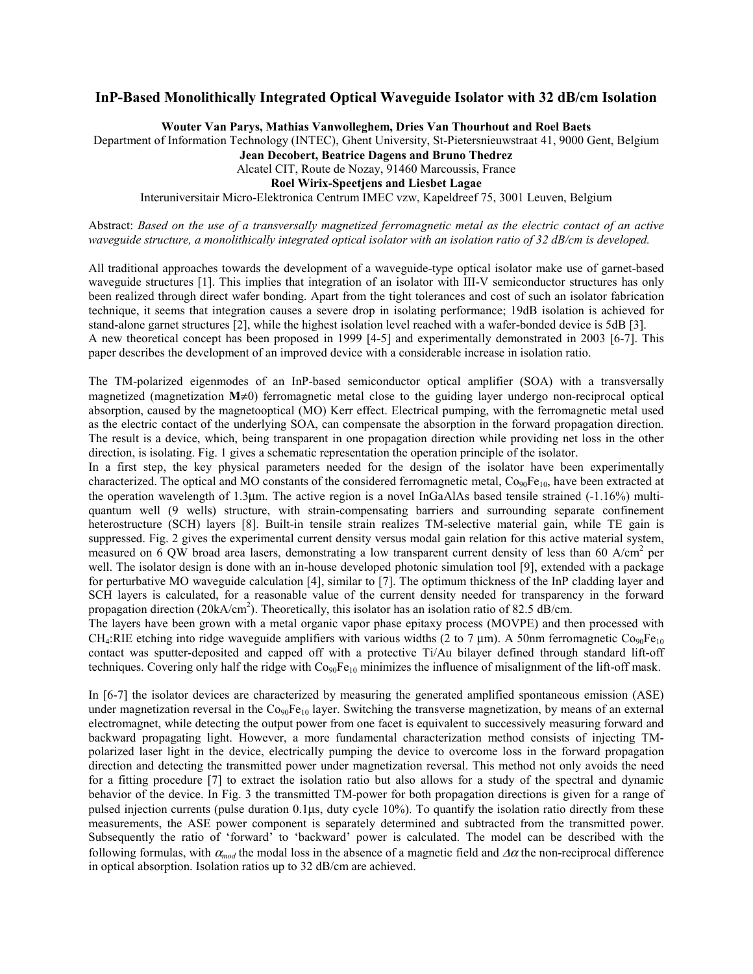## **InP-Based Monolithically Integrated Optical Waveguide Isolator with 32 dB/cm Isolation**

**Wouter Van Parys, Mathias Vanwolleghem, Dries Van Thourhout and Roel Baets**

Department of Information Technology (INTEC), Ghent University, St-Pietersnieuwstraat 41, 9000 Gent, Belgium

**Jean Decobert, Beatrice Dagens and Bruno Thedrez**

Alcatel CIT, Route de Nozay, 91460 Marcoussis, France

**Roel Wirix-Speetjens and Liesbet Lagae**

Interuniversitair Micro-Elektronica Centrum IMEC vzw, Kapeldreef 75, 3001 Leuven, Belgium

## Abstract: *Based on the use of a transversally magnetized ferromagnetic metal as the electric contact of an active waveguide structure, a monolithically integrated optical isolator with an isolation ratio of 32 dB/cm is developed.*

All traditional approaches towards the development of a waveguide-type optical isolator make use of garnet-based waveguide structures [1]. This implies that integration of an isolator with III-V semiconductor structures has only been realized through direct wafer bonding. Apart from the tight tolerances and cost of such an isolator fabrication technique, it seems that integration causes a severe drop in isolating performance; 19dB isolation is achieved for stand-alone garnet structures [2], while the highest isolation level reached with a wafer-bonded device is 5dB [3]. A new theoretical concept has been proposed in 1999 [4-5] and experimentally demonstrated in 2003 [6-7]. This paper describes the development of an improved device with a considerable increase in isolation ratio.

The TM-polarized eigenmodes of an InP-based semiconductor optical amplifier (SOA) with a transversally magnetized (magnetization **M**≠0) ferromagnetic metal close to the guiding layer undergo non-reciprocal optical absorption, caused by the magnetooptical (MO) Kerr effect. Electrical pumping, with the ferromagnetic metal used as the electric contact of the underlying SOA, can compensate the absorption in the forward propagation direction. The result is a device, which, being transparent in one propagation direction while providing net loss in the other direction, is isolating. Fig. 1 gives a schematic representation the operation principle of the isolator.

In a first step, the key physical parameters needed for the design of the isolator have been experimentally characterized. The optical and MO constants of the considered ferromagnetic metal, Co<sub>90</sub>Fe<sub>10</sub>, have been extracted at the operation wavelength of 1.3µm. The active region is a novel InGaAlAs based tensile strained (-1.16%) multiquantum well (9 wells) structure, with strain-compensating barriers and surrounding separate confinement heterostructure (SCH) layers [8]. Built-in tensile strain realizes TM-selective material gain, while TE gain is suppressed. Fig. 2 gives the experimental current density versus modal gain relation for this active material system, measured on 6 QW broad area lasers, demonstrating a low transparent current density of less than 60 A/cm<sup>2</sup> per well. The isolator design is done with an in-house developed photonic simulation tool [9], extended with a package for perturbative MO waveguide calculation [4], similar to [7]. The optimum thickness of the InP cladding layer and SCH layers is calculated, for a reasonable value of the current density needed for transparency in the forward propagation direction (20kA/cm<sup>2</sup>). Theoretically, this isolator has an isolation ratio of 82.5 dB/cm.

The layers have been grown with a metal organic vapor phase epitaxy process (MOVPE) and then processed with CH<sub>4</sub>:RIE etching into ridge waveguide amplifiers with various widths (2 to 7 µm). A 50nm ferromagnetic Co<sub>90</sub>Fe<sub>10</sub> contact was sputter-deposited and capped off with a protective Ti/Au bilayer defined through standard lift-off techniques. Covering only half the ridge with  $Co<sub>90</sub>Fe<sub>10</sub>$  minimizes the influence of misalignment of the lift-off mask.

In [6-7] the isolator devices are characterized by measuring the generated amplified spontaneous emission (ASE) under magnetization reversal in the  $Co_{90}Fe_{10}$  layer. Switching the transverse magnetization, by means of an external electromagnet, while detecting the output power from one facet is equivalent to successively measuring forward and backward propagating light. However, a more fundamental characterization method consists of injecting TMpolarized laser light in the device, electrically pumping the device to overcome loss in the forward propagation direction and detecting the transmitted power under magnetization reversal. This method not only avoids the need for a fitting procedure [7] to extract the isolation ratio but also allows for a study of the spectral and dynamic behavior of the device. In Fig. 3 the transmitted TM-power for both propagation directions is given for a range of pulsed injection currents (pulse duration 0.1µs, duty cycle 10%). To quantify the isolation ratio directly from these measurements, the ASE power component is separately determined and subtracted from the transmitted power. Subsequently the ratio of 'forward' to 'backward' power is calculated. The model can be described with the following formulas, with  $\alpha_{mod}$  the modal loss in the absence of a magnetic field and  $\Delta \alpha$  the non-reciprocal difference in optical absorption. Isolation ratios up to 32 dB/cm are achieved.